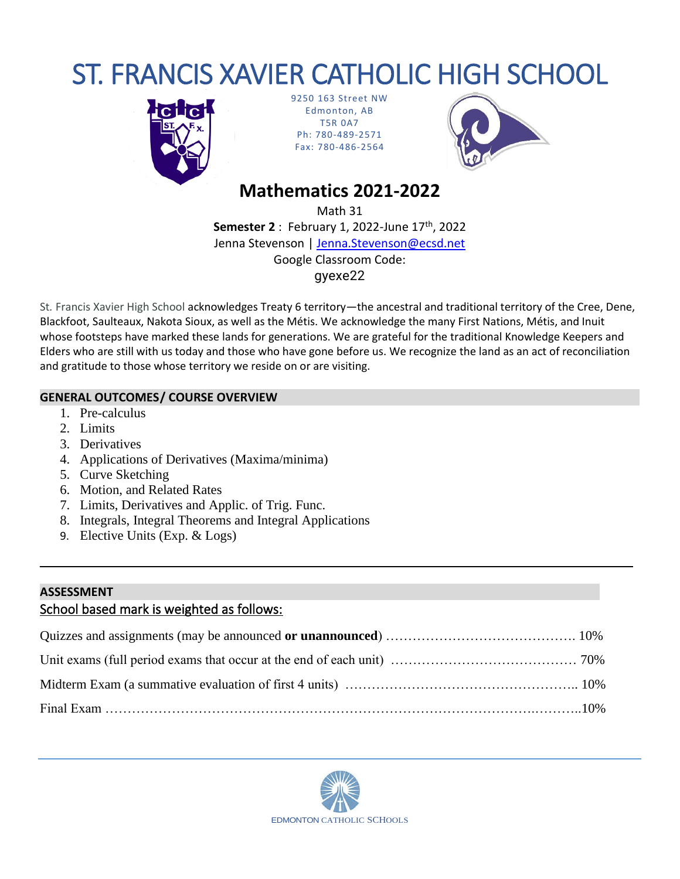# ST. FRANCIS XAVIER CATHOLIC HIGH SCHOOL



9250 163 Street NW Edmonton, AB T5R 0A7 Ph: 780-489-2571 Fax: 780-486-2564



# **Mathematics 2021-2022**

Math 31

**Semester 2** : February 1, 2022-June 17th, 2022 Jenna Stevenson | [Jenna.Stevenson@ecsd.net](mailto:Jenna.Stevenson@ecsd.net) Google Classroom Code: gyexe22

St*.* Francis Xavier High School acknowledges Treaty 6 territory—the ancestral and traditional territory of the Cree, Dene, Blackfoot, Saulteaux, Nakota Sioux, as well as the Métis. We acknowledge the many First Nations, Métis, and Inuit whose footsteps have marked these lands for generations. We are grateful for the traditional Knowledge Keepers and Elders who are still with us today and those who have gone before us. We recognize the land as an act of reconciliation and gratitude to those whose territory we reside on or are visiting.

## **GENERAL OUTCOMES/ COURSE OVERVIEW**

- 1. Pre-calculus
- 2. Limits
- 3. Derivatives
- 4. Applications of Derivatives (Maxima/minima)
- 5. Curve Sketching
- 6. Motion, and Related Rates
- 7. Limits, Derivatives and Applic. of Trig. Func.
- 8. Integrals, Integral Theorems and Integral Applications
- 9. Elective Units (Exp. & Logs)

## **ASSESSMENT**

# School based mark is weighted as follows:

**\_\_\_\_\_\_\_\_\_\_\_\_\_\_\_\_\_\_\_\_\_\_\_\_\_\_\_\_\_\_\_\_\_\_\_\_\_\_\_\_\_\_\_\_\_\_\_\_\_\_\_\_\_\_\_\_\_\_\_\_\_\_\_\_\_\_\_\_\_\_\_\_\_\_\_\_\_\_\_\_\_\_\_\_\_\_\_\_\_**

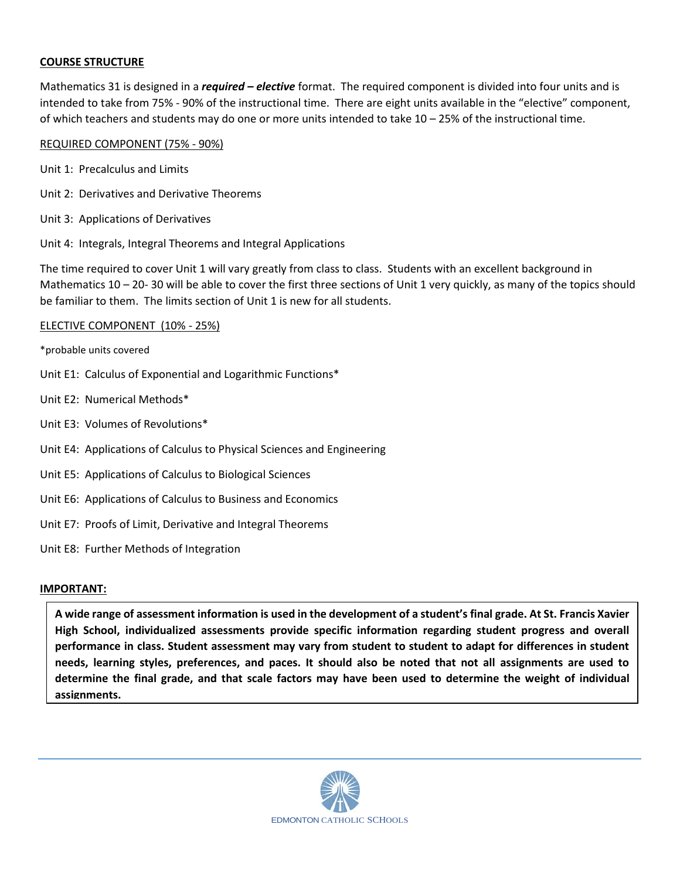#### **COURSE STRUCTURE**

Mathematics 31 is designed in a *required – elective* format. The required component is divided into four units and is intended to take from 75% - 90% of the instructional time. There are eight units available in the "elective" component, of which teachers and students may do one or more units intended to take 10 – 25% of the instructional time.

#### REQUIRED COMPONENT (75% - 90%)

- Unit 1: Precalculus and Limits
- Unit 2: Derivatives and Derivative Theorems
- Unit 3: Applications of Derivatives
- Unit 4: Integrals, Integral Theorems and Integral Applications

The time required to cover Unit 1 will vary greatly from class to class. Students with an excellent background in Mathematics 10 – 20- 30 will be able to cover the first three sections of Unit 1 very quickly, as many of the topics should be familiar to them. The limits section of Unit 1 is new for all students.

#### ELECTIVE COMPONENT (10% - 25%)

\*probable units covered

- Unit E1: Calculus of Exponential and Logarithmic Functions\*
- Unit E2: Numerical Methods\*
- Unit E3: Volumes of Revolutions\*
- Unit E4: Applications of Calculus to Physical Sciences and Engineering
- Unit E5: Applications of Calculus to Biological Sciences
- Unit E6: Applications of Calculus to Business and Economics
- Unit E7: Proofs of Limit, Derivative and Integral Theorems
- Unit E8: Further Methods of Integration

#### **IMPORTANT:**

**A wide range of assessment information is used in the development of a student's final grade. At St. Francis Xavier High School, individualized assessments provide specific information regarding student progress and overall performance in class. Student assessment may vary from student to student to adapt for differences in student needs, learning styles, preferences, and paces. It should also be noted that not all assignments are used to determine the final grade, and that scale factors may have been used to determine the weight of individual assignments.**